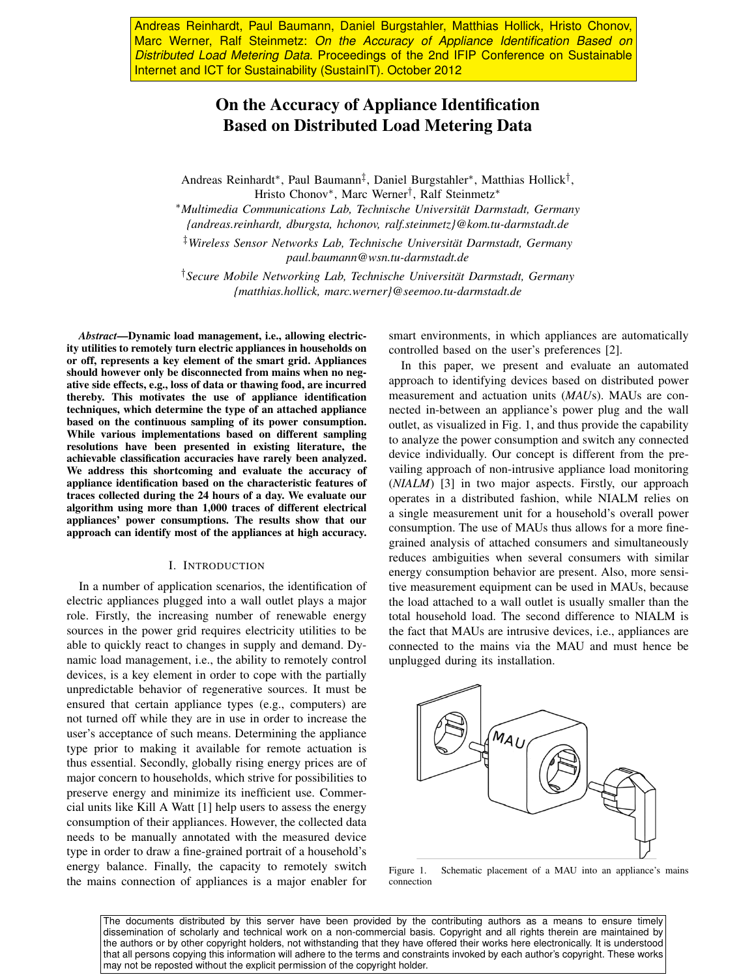Andreas Reinhardt, Paul Baumann, Daniel Burgstahler, Matthias Hollick, Hristo Chonov, Marc Werner, Ralf Steinmetz: *On the Accuracy of Appliance Identification Based on Distributed Load Metering Data*. Proceedings of the 2nd IFIP Conference on Sustainable Internet and ICT for Sustainability (SustainIT). October 2012

# On the Accuracy of Appliance Identification Based on Distributed Load Metering Data

Andreas Reinhardt<sup>∗</sup> , Paul Baumann‡ , Daniel Burgstahler<sup>∗</sup> , Matthias Hollick† , Hristo Chonov<sup>∗</sup> , Marc Werner† , Ralf Steinmetz<sup>∗</sup>

<sup>∗</sup>*Multimedia Communications Lab, Technische Universität Darmstadt, Germany {andreas.reinhardt, dburgsta, hchonov, ralf.steinmetz}@kom.tu-darmstadt.de*

‡*Wireless Sensor Networks Lab, Technische Universität Darmstadt, Germany paul.baumann@wsn.tu-darmstadt.de*

†*Secure Mobile Networking Lab, Technische Universität Darmstadt, Germany {matthias.hollick, marc.werner}@seemoo.tu-darmstadt.de*

*Abstract*—Dynamic load management, i.e., allowing electricity utilities to remotely turn electric appliances in households on or off, represents a key element of the smart grid. Appliances should however only be disconnected from mains when no negative side effects, e.g., loss of data or thawing food, are incurred thereby. This motivates the use of appliance identification techniques, which determine the type of an attached appliance based on the continuous sampling of its power consumption. While various implementations based on different sampling resolutions have been presented in existing literature, the achievable classification accuracies have rarely been analyzed. We address this shortcoming and evaluate the accuracy of appliance identification based on the characteristic features of traces collected during the 24 hours of a day. We evaluate our algorithm using more than 1,000 traces of different electrical appliances' power consumptions. The results show that our approach can identify most of the appliances at high accuracy.

## I. INTRODUCTION

In a number of application scenarios, the identification of electric appliances plugged into a wall outlet plays a major role. Firstly, the increasing number of renewable energy sources in the power grid requires electricity utilities to be able to quickly react to changes in supply and demand. Dynamic load management, i.e., the ability to remotely control devices, is a key element in order to cope with the partially unpredictable behavior of regenerative sources. It must be ensured that certain appliance types (e.g., computers) are not turned off while they are in use in order to increase the user's acceptance of such means. Determining the appliance type prior to making it available for remote actuation is thus essential. Secondly, globally rising energy prices are of major concern to households, which strive for possibilities to preserve energy and minimize its inefficient use. Commercial units like Kill A Watt [1] help users to assess the energy consumption of their appliances. However, the collected data needs to be manually annotated with the measured device type in order to draw a fine-grained portrait of a household's energy balance. Finally, the capacity to remotely switch the mains connection of appliances is a major enabler for smart environments, in which appliances are automatically controlled based on the user's preferences [2].

In this paper, we present and evaluate an automated approach to identifying devices based on distributed power measurement and actuation units (*MAU*s). MAUs are connected in-between an appliance's power plug and the wall outlet, as visualized in Fig. 1, and thus provide the capability to analyze the power consumption and switch any connected device individually. Our concept is different from the prevailing approach of non-intrusive appliance load monitoring (*NIALM*) [3] in two major aspects. Firstly, our approach operates in a distributed fashion, while NIALM relies on a single measurement unit for a household's overall power consumption. The use of MAUs thus allows for a more finegrained analysis of attached consumers and simultaneously reduces ambiguities when several consumers with similar energy consumption behavior are present. Also, more sensitive measurement equipment can be used in MAUs, because the load attached to a wall outlet is usually smaller than the total household load. The second difference to NIALM is the fact that MAUs are intrusive devices, i.e., appliances are connected to the mains via the MAU and must hence be unplugged during its installation.



Figure 1. Schematic placement of a MAU into an appliance's mains connection

The documents distributed by this server have been provided by the contributing authors as a means to ensure timely dissemination of scholarly and technical work on a non-commercial basis. Copyright and all rights therein are maintained by the authors or by other copyright holders, not withstanding that they have offered their works here electronically. It is understood that all persons copying this information will adhere to the terms and constraints invoked by each author's copyright. These works may not be reposted without the explicit permission of the copyright holder.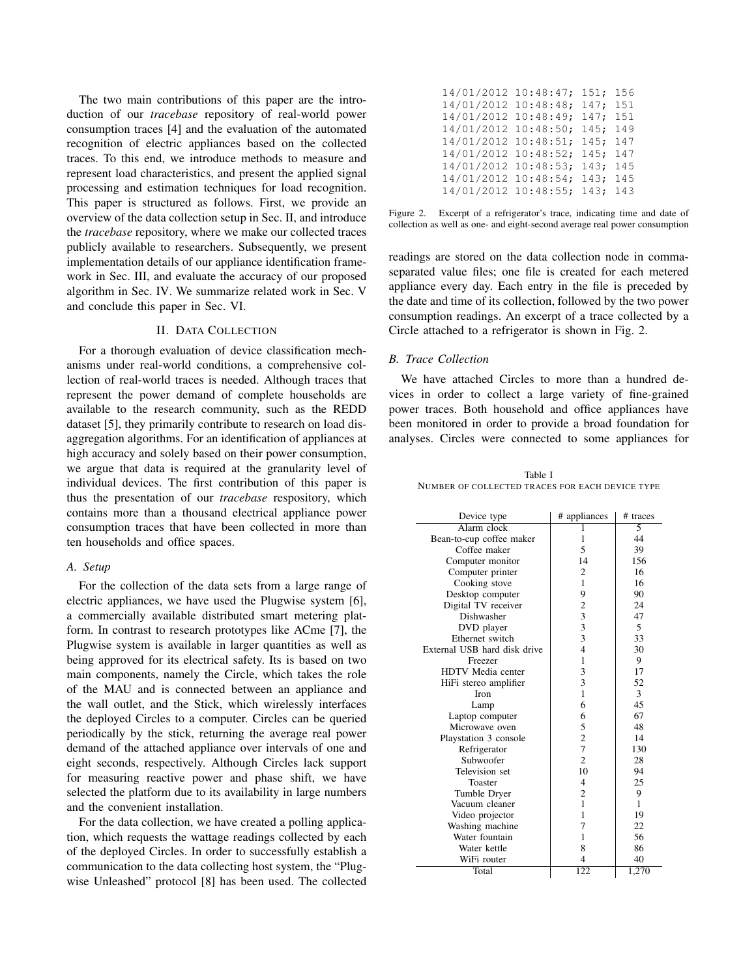The two main contributions of this paper are the introduction of our *tracebase* repository of real-world power consumption traces [4] and the evaluation of the automated recognition of electric appliances based on the collected traces. To this end, we introduce methods to measure and represent load characteristics, and present the applied signal processing and estimation techniques for load recognition. This paper is structured as follows. First, we provide an overview of the data collection setup in Sec. II, and introduce the *tracebase* repository, where we make our collected traces publicly available to researchers. Subsequently, we present implementation details of our appliance identification framework in Sec. III, and evaluate the accuracy of our proposed algorithm in Sec. IV. We summarize related work in Sec. V and conclude this paper in Sec. VI.

## II. DATA COLLECTION

For a thorough evaluation of device classification mechanisms under real-world conditions, a comprehensive collection of real-world traces is needed. Although traces that represent the power demand of complete households are available to the research community, such as the REDD dataset [5], they primarily contribute to research on load disaggregation algorithms. For an identification of appliances at high accuracy and solely based on their power consumption, we argue that data is required at the granularity level of individual devices. The first contribution of this paper is thus the presentation of our *tracebase* respository, which contains more than a thousand electrical appliance power consumption traces that have been collected in more than ten households and office spaces.

## *A. Setup*

For the collection of the data sets from a large range of electric appliances, we have used the Plugwise system [6], a commercially available distributed smart metering platform. In contrast to research prototypes like ACme [7], the Plugwise system is available in larger quantities as well as being approved for its electrical safety. Its is based on two main components, namely the Circle, which takes the role of the MAU and is connected between an appliance and the wall outlet, and the Stick, which wirelessly interfaces the deployed Circles to a computer. Circles can be queried periodically by the stick, returning the average real power demand of the attached appliance over intervals of one and eight seconds, respectively. Although Circles lack support for measuring reactive power and phase shift, we have selected the platform due to its availability in large numbers and the convenient installation.

For the data collection, we have created a polling application, which requests the wattage readings collected by each of the deployed Circles. In order to successfully establish a communication to the data collecting host system, the "Plugwise Unleashed" protocol [8] has been used. The collected

| 14/01/2012 10:48:47; 151; 156 |  |  |
|-------------------------------|--|--|
| 14/01/2012 10:48:48; 147; 151 |  |  |
| 14/01/2012 10:48:49; 147; 151 |  |  |
| 14/01/2012 10:48:50; 145; 149 |  |  |
| 14/01/2012 10:48:51; 145; 147 |  |  |
| 14/01/2012 10:48:52; 145; 147 |  |  |
| 14/01/2012 10:48:53; 143; 145 |  |  |
| 14/01/2012 10:48:54; 143; 145 |  |  |
| 14/01/2012 10:48:55; 143; 143 |  |  |



readings are stored on the data collection node in commaseparated value files; one file is created for each metered appliance every day. Each entry in the file is preceded by the date and time of its collection, followed by the two power consumption readings. An excerpt of a trace collected by a Circle attached to a refrigerator is shown in Fig. 2.

# *B. Trace Collection*

We have attached Circles to more than a hundred devices in order to collect a large variety of fine-grained power traces. Both household and office appliances have been monitored in order to provide a broad foundation for analyses. Circles were connected to some appliances for

Table I NUMBER OF COLLECTED TRACES FOR EACH DEVICE TYPE

| Device type                  | # appliances   | # traces |
|------------------------------|----------------|----------|
| Alarm clock                  |                | 5        |
| Bean-to-cup coffee maker     | 1              | 44       |
| Coffee maker                 | 5              | 39       |
| Computer monitor             | 14             | 156      |
| Computer printer             | $\overline{c}$ | 16       |
| Cooking stove                | 1              | 16       |
| Desktop computer             | 9              | 90       |
| Digital TV receiver          | $\frac{2}{3}$  | 24       |
| Dishwasher                   |                | 47       |
| DVD player                   | $\frac{3}{3}$  | 5        |
| Ethernet switch              |                | 33       |
| External USB hard disk drive | $\overline{4}$ | 30       |
| Freezer                      | $\mathbf{1}$   | 9        |
| HDTV Media center            | 3              | 17       |
| HiFi stereo amplifier        | 3              | 52       |
| <b>Iron</b>                  | 1              | 3        |
| Lamp                         | 6              | 45       |
| Laptop computer              | 6              | 67       |
| Microwave oven               | 5              | 48       |
| Playstation 3 console        | $\overline{c}$ | 14       |
| Refrigerator                 | 7              | 130      |
| Subwoofer                    | $\overline{2}$ | 28       |
| Television set               | 10             | 94       |
| Toaster                      | $\overline{4}$ | 25       |
| Tumble Dryer                 | $\overline{c}$ | 9        |
| Vacuum cleaner               | 1              | 1        |
| Video projector              | 1              | 19       |
| Washing machine              | 7              | 22       |
| Water fountain               | 1              | 56       |
| Water kettle                 | 8              | 86       |
| WiFi router                  | 4              | 40       |
| Total                        | 122            | 1,270    |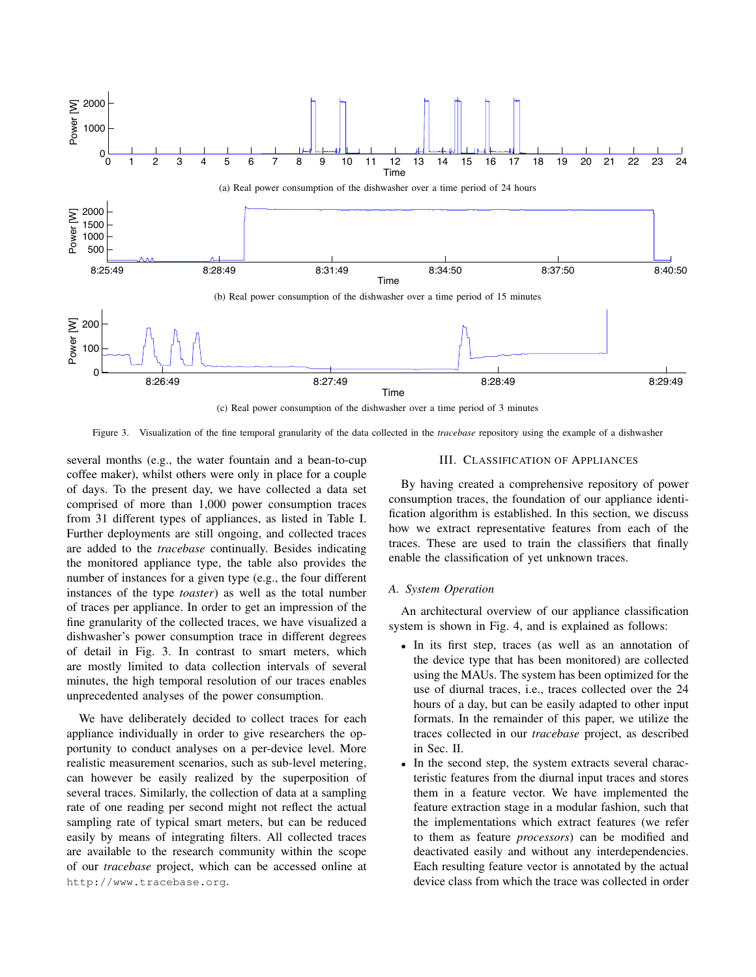

(c) Real power consumption of the dishwasher over a time period of 3 minutes

Figure 3. Visualization of the fine temporal granularity of the data collected in the *tracebase* repository using the example of a dishwasher

several months (e.g., the water fountain and a bean-to-cup coffee maker), whilst others were only in place for a couple of days. To the present day, we have collected a data set comprised of more than 1,000 power consumption traces from 31 different types of appliances, as listed in Table I. Further deployments are still ongoing, and collected traces are added to the *tracebase* continually. Besides indicating the monitored appliance type, the table also provides the number of instances for a given type (e.g., the four different instances of the type *toaster*) as well as the total number of traces per appliance. In order to get an impression of the fine granularity of the collected traces, we have visualized a dishwasher's power consumption trace in different degrees of detail in Fig. 3. In contrast to smart meters, which are mostly limited to data collection intervals of several minutes, the high temporal resolution of our traces enables unprecedented analyses of the power consumption.

We have deliberately decided to collect traces for each appliance individually in order to give researchers the opportunity to conduct analyses on a per-device level. More realistic measurement scenarios, such as sub-level metering, can however be easily realized by the superposition of several traces. Similarly, the collection of data at a sampling rate of one reading per second might not reflect the actual sampling rate of typical smart meters, but can be reduced easily by means of integrating filters. All collected traces are available to the research community within the scope of our *tracebase* project, which can be accessed online at http://www.tracebase.org.

# III. CLASSIFICATION OF APPLIANCES

By having created a comprehensive repository of power consumption traces, the foundation of our appliance identification algorithm is established. In this section, we discuss how we extract representative features from each of the traces. These are used to train the classifiers that finally enable the classification of yet unknown traces.

# *A. System Operation*

An architectural overview of our appliance classification system is shown in Fig. 4, and is explained as follows:

- In its first step, traces (as well as an annotation of the device type that has been monitored) are collected using the MAUs. The system has been optimized for the use of diurnal traces, i.e., traces collected over the 24 hours of a day, but can be easily adapted to other input formats. In the remainder of this paper, we utilize the traces collected in our *tracebase* project, as described in Sec. II.
- In the second step, the system extracts several characteristic features from the diurnal input traces and stores them in a feature vector. We have implemented the feature extraction stage in a modular fashion, such that the implementations which extract features (we refer to them as feature *processors*) can be modified and deactivated easily and without any interdependencies. Each resulting feature vector is annotated by the actual device class from which the trace was collected in order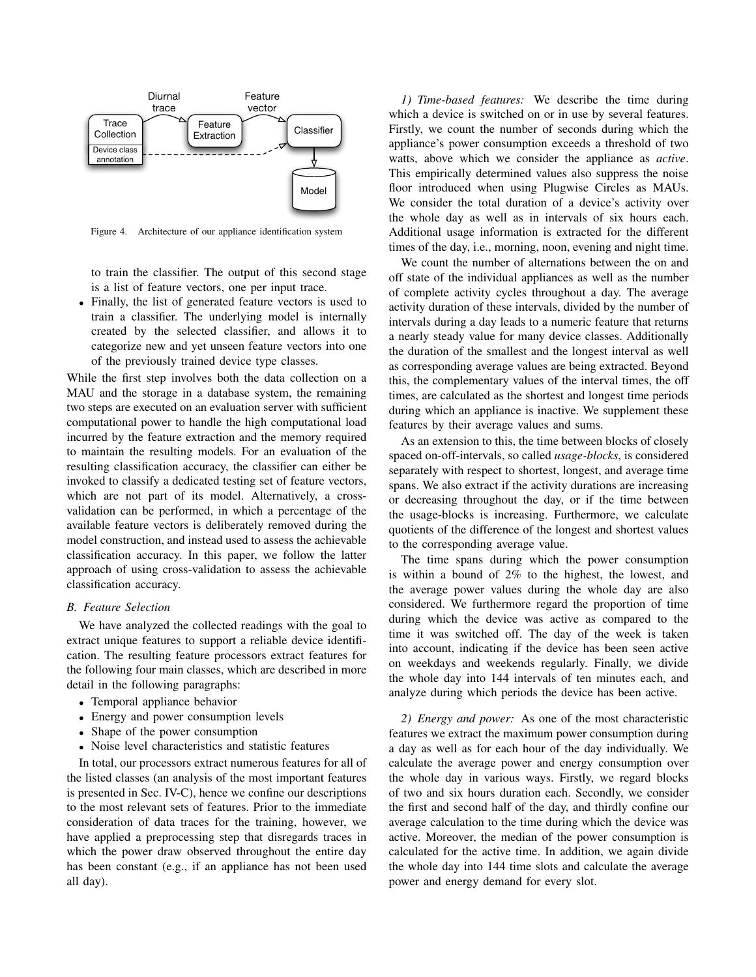

Figure 4. Architecture of our appliance identification system

to train the classifier. The output of this second stage is a list of feature vectors, one per input trace.

• Finally, the list of generated feature vectors is used to train a classifier. The underlying model is internally created by the selected classifier, and allows it to categorize new and yet unseen feature vectors into one of the previously trained device type classes.

While the first step involves both the data collection on a MAU and the storage in a database system, the remaining two steps are executed on an evaluation server with sufficient computational power to handle the high computational load incurred by the feature extraction and the memory required to maintain the resulting models. For an evaluation of the resulting classification accuracy, the classifier can either be invoked to classify a dedicated testing set of feature vectors, which are not part of its model. Alternatively, a crossvalidation can be performed, in which a percentage of the available feature vectors is deliberately removed during the model construction, and instead used to assess the achievable classification accuracy. In this paper, we follow the latter approach of using cross-validation to assess the achievable classification accuracy.

### *B. Feature Selection*

We have analyzed the collected readings with the goal to extract unique features to support a reliable device identification. The resulting feature processors extract features for the following four main classes, which are described in more detail in the following paragraphs:

- Temporal appliance behavior
- Energy and power consumption levels
- Shape of the power consumption
- Noise level characteristics and statistic features

In total, our processors extract numerous features for all of the listed classes (an analysis of the most important features is presented in Sec. IV-C), hence we confine our descriptions to the most relevant sets of features. Prior to the immediate consideration of data traces for the training, however, we have applied a preprocessing step that disregards traces in which the power draw observed throughout the entire day has been constant (e.g., if an appliance has not been used all day).

*1) Time-based features:* We describe the time during which a device is switched on or in use by several features. Firstly, we count the number of seconds during which the appliance's power consumption exceeds a threshold of two watts, above which we consider the appliance as *active*. This empirically determined values also suppress the noise floor introduced when using Plugwise Circles as MAUs. We consider the total duration of a device's activity over the whole day as well as in intervals of six hours each. Additional usage information is extracted for the different times of the day, i.e., morning, noon, evening and night time.

We count the number of alternations between the on and off state of the individual appliances as well as the number of complete activity cycles throughout a day. The average activity duration of these intervals, divided by the number of intervals during a day leads to a numeric feature that returns a nearly steady value for many device classes. Additionally the duration of the smallest and the longest interval as well as corresponding average values are being extracted. Beyond this, the complementary values of the interval times, the off times, are calculated as the shortest and longest time periods during which an appliance is inactive. We supplement these features by their average values and sums.

As an extension to this, the time between blocks of closely spaced on-off-intervals, so called *usage-blocks*, is considered separately with respect to shortest, longest, and average time spans. We also extract if the activity durations are increasing or decreasing throughout the day, or if the time between the usage-blocks is increasing. Furthermore, we calculate quotients of the difference of the longest and shortest values to the corresponding average value.

The time spans during which the power consumption is within a bound of 2% to the highest, the lowest, and the average power values during the whole day are also considered. We furthermore regard the proportion of time during which the device was active as compared to the time it was switched off. The day of the week is taken into account, indicating if the device has been seen active on weekdays and weekends regularly. Finally, we divide the whole day into 144 intervals of ten minutes each, and analyze during which periods the device has been active.

*2) Energy and power:* As one of the most characteristic features we extract the maximum power consumption during a day as well as for each hour of the day individually. We calculate the average power and energy consumption over the whole day in various ways. Firstly, we regard blocks of two and six hours duration each. Secondly, we consider the first and second half of the day, and thirdly confine our average calculation to the time during which the device was active. Moreover, the median of the power consumption is calculated for the active time. In addition, we again divide the whole day into 144 time slots and calculate the average power and energy demand for every slot.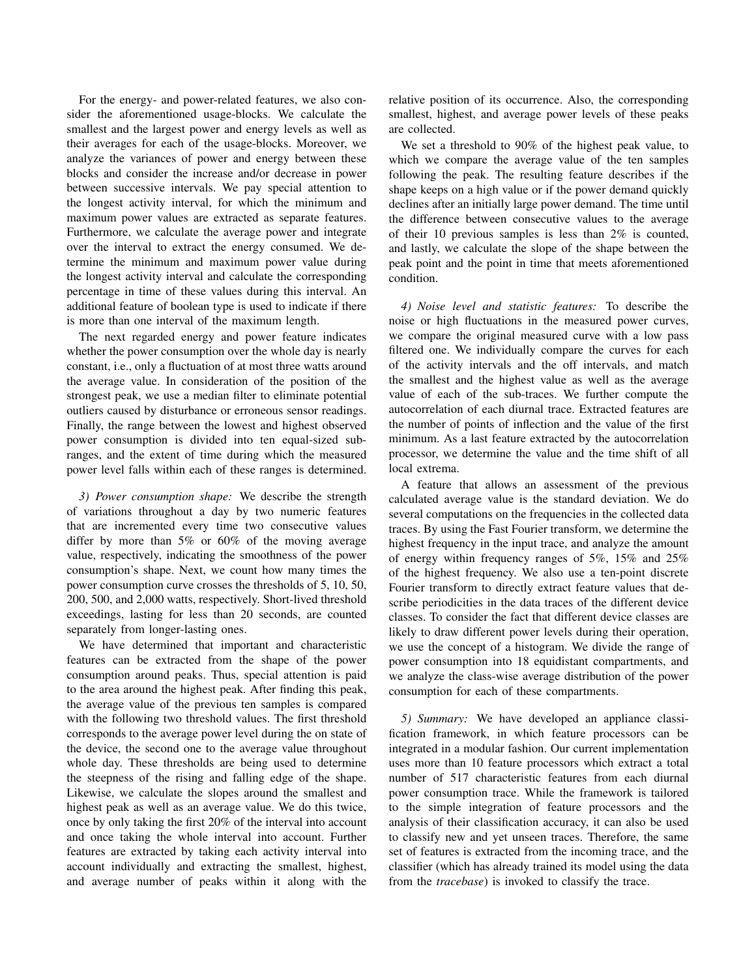For the energy- and power-related features, we also consider the aforementioned usage-blocks. We calculate the smallest and the largest power and energy levels as well as their averages for each of the usage-blocks. Moreover, we analyze the variances of power and energy between these blocks and consider the increase and/or decrease in power between successive intervals. We pay special attention to the longest activity interval, for which the minimum and maximum power values are extracted as separate features. Furthermore, we calculate the average power and integrate over the interval to extract the energy consumed. We determine the minimum and maximum power value during the longest activity interval and calculate the corresponding percentage in time of these values during this interval. An additional feature of boolean type is used to indicate if there is more than one interval of the maximum length.

The next regarded energy and power feature indicates whether the power consumption over the whole day is nearly constant, i.e., only a fluctuation of at most three watts around the average value. In consideration of the position of the strongest peak, we use a median filter to eliminate potential outliers caused by disturbance or erroneous sensor readings. Finally, the range between the lowest and highest observed power consumption is divided into ten equal-sized subranges, and the extent of time during which the measured power level falls within each of these ranges is determined.

*3) Power consumption shape:* We describe the strength of variations throughout a day by two numeric features that are incremented every time two consecutive values differ by more than 5% or 60% of the moving average value, respectively, indicating the smoothness of the power consumption's shape. Next, we count how many times the power consumption curve crosses the thresholds of 5, 10, 50, 200, 500, and 2,000 watts, respectively. Short-lived threshold exceedings, lasting for less than 20 seconds, are counted separately from longer-lasting ones.

We have determined that important and characteristic features can be extracted from the shape of the power consumption around peaks. Thus, special attention is paid to the area around the highest peak. After finding this peak, the average value of the previous ten samples is compared with the following two threshold values. The first threshold corresponds to the average power level during the on state of the device, the second one to the average value throughout whole day. These thresholds are being used to determine the steepness of the rising and falling edge of the shape. Likewise, we calculate the slopes around the smallest and highest peak as well as an average value. We do this twice, once by only taking the first 20% of the interval into account and once taking the whole interval into account. Further features are extracted by taking each activity interval into account individually and extracting the smallest, highest, and average number of peaks within it along with the relative position of its occurrence. Also, the corresponding smallest, highest, and average power levels of these peaks are collected.

We set a threshold to 90% of the highest peak value, to which we compare the average value of the ten samples following the peak. The resulting feature describes if the shape keeps on a high value or if the power demand quickly declines after an initially large power demand. The time until the difference between consecutive values to the average of their 10 previous samples is less than 2% is counted, and lastly, we calculate the slope of the shape between the peak point and the point in time that meets aforementioned condition.

*4) Noise level and statistic features:* To describe the noise or high fluctuations in the measured power curves, we compare the original measured curve with a low pass filtered one. We individually compare the curves for each of the activity intervals and the off intervals, and match the smallest and the highest value as well as the average value of each of the sub-traces. We further compute the autocorrelation of each diurnal trace. Extracted features are the number of points of inflection and the value of the first minimum. As a last feature extracted by the autocorrelation processor, we determine the value and the time shift of all local extrema.

A feature that allows an assessment of the previous calculated average value is the standard deviation. We do several computations on the frequencies in the collected data traces. By using the Fast Fourier transform, we determine the highest frequency in the input trace, and analyze the amount of energy within frequency ranges of 5%, 15% and 25% of the highest frequency. We also use a ten-point discrete Fourier transform to directly extract feature values that describe periodicities in the data traces of the different device classes. To consider the fact that different device classes are likely to draw different power levels during their operation, we use the concept of a histogram. We divide the range of power consumption into 18 equidistant compartments, and we analyze the class-wise average distribution of the power consumption for each of these compartments.

*5) Summary:* We have developed an appliance classification framework, in which feature processors can be integrated in a modular fashion. Our current implementation uses more than 10 feature processors which extract a total number of 517 characteristic features from each diurnal power consumption trace. While the framework is tailored to the simple integration of feature processors and the analysis of their classification accuracy, it can also be used to classify new and yet unseen traces. Therefore, the same set of features is extracted from the incoming trace, and the classifier (which has already trained its model using the data from the *tracebase*) is invoked to classify the trace.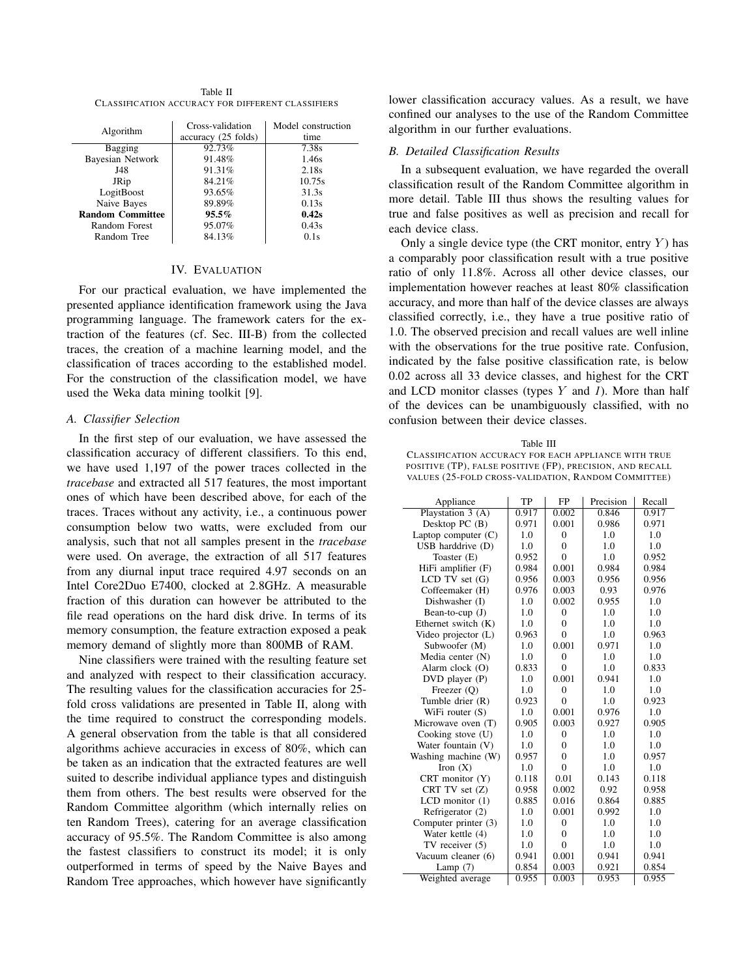Table II CLASSIFICATION ACCURACY FOR DIFFERENT CLASSIFIERS

| Algorithm               | Cross-validation<br>accuracy (25 folds) | Model construction<br>time |
|-------------------------|-----------------------------------------|----------------------------|
| Bagging                 | 92.73%                                  | 7.38s                      |
| <b>Bayesian Network</b> | 91.48%                                  | 1.46s                      |
| J48                     | 91.31%                                  | 2.18s                      |
| JRip                    | 84.21%                                  | 10.75s                     |
| LogitBoost              | 93.65%                                  | 31.3s                      |
| Naive Bayes             | 89.89%                                  | 0.13s                      |
| <b>Random Committee</b> | $95.5\%$                                | 0.42s                      |
| Random Forest           | 95.07%                                  | 0.43s                      |
| Random Tree             | 84.13%                                  | 0.1s                       |

## IV. EVALUATION

For our practical evaluation, we have implemented the presented appliance identification framework using the Java programming language. The framework caters for the extraction of the features (cf. Sec. III-B) from the collected traces, the creation of a machine learning model, and the classification of traces according to the established model. For the construction of the classification model, we have used the Weka data mining toolkit [9].

#### *A. Classifier Selection*

In the first step of our evaluation, we have assessed the classification accuracy of different classifiers. To this end, we have used 1,197 of the power traces collected in the *tracebase* and extracted all 517 features, the most important ones of which have been described above, for each of the traces. Traces without any activity, i.e., a continuous power consumption below two watts, were excluded from our analysis, such that not all samples present in the *tracebase* were used. On average, the extraction of all 517 features from any diurnal input trace required 4.97 seconds on an Intel Core2Duo E7400, clocked at 2.8GHz. A measurable fraction of this duration can however be attributed to the file read operations on the hard disk drive. In terms of its memory consumption, the feature extraction exposed a peak memory demand of slightly more than 800MB of RAM.

Nine classifiers were trained with the resulting feature set and analyzed with respect to their classification accuracy. The resulting values for the classification accuracies for 25 fold cross validations are presented in Table II, along with the time required to construct the corresponding models. A general observation from the table is that all considered algorithms achieve accuracies in excess of 80%, which can be taken as an indication that the extracted features are well suited to describe individual appliance types and distinguish them from others. The best results were observed for the Random Committee algorithm (which internally relies on ten Random Trees), catering for an average classification accuracy of 95.5%. The Random Committee is also among the fastest classifiers to construct its model; it is only outperformed in terms of speed by the Naive Bayes and Random Tree approaches, which however have significantly lower classification accuracy values. As a result, we have confined our analyses to the use of the Random Committee algorithm in our further evaluations.

# *B. Detailed Classification Results*

In a subsequent evaluation, we have regarded the overall classification result of the Random Committee algorithm in more detail. Table III thus shows the resulting values for true and false positives as well as precision and recall for each device class.

Only a single device type (the CRT monitor, entry  $Y$ ) has a comparably poor classification result with a true positive ratio of only 11.8%. Across all other device classes, our implementation however reaches at least 80% classification accuracy, and more than half of the device classes are always classified correctly, i.e., they have a true positive ratio of 1.0. The observed precision and recall values are well inline with the observations for the true positive rate. Confusion, indicated by the false positive classification rate, is below 0.02 across all 33 device classes, and highest for the CRT and LCD monitor classes (types Y and *1*). More than half of the devices can be unambiguously classified, with no confusion between their device classes.

Table III CLASSIFICATION ACCURACY FOR EACH APPLIANCE WITH TRUE POSITIVE (TP), FALSE POSITIVE (FP), PRECISION, AND RECALL VALUES (25-FOLD CROSS-VALIDATION, RANDOM COMMITTEE)

| Appliance             | TP    | FP           | Precision | Recall |
|-----------------------|-------|--------------|-----------|--------|
| Playstation $3(A)$    | 0.917 | 0.002        | 0.846     | 0.917  |
| Desktop PC $(B)$      | 0.971 | 0.001        | 0.986     | 0.971  |
| Laptop computer $(C)$ | 1.0   | $\Omega$     | 1.0       | 1.0    |
| USB harddrive (D)     | 1.0   | $\Omega$     | 1.0       | 1.0    |
| Toaster (E)           | 0.952 | $\Omega$     | 1.0       | 0.952  |
| HiFi amplifier (F)    | 0.984 | 0.001        | 0.984     | 0.984  |
| LCD TV set (G)        | 0.956 | 0.003        | 0.956     | 0.956  |
| Coffeemaker (H)       | 0.976 | 0.003        | 0.93      | 0.976  |
| Dishwasher (I)        | 1.0   | 0.002        | 0.955     | 1.0    |
| Bean-to-cup $(J)$     | 1.0   | $\Omega$     | 1.0       | 1.0    |
| Ethernet switch (K)   | 1.0   | $\theta$     | 1.0       | 1.0    |
| Video projector (L)   | 0.963 | $\theta$     | 1.0       | 0.963  |
| Subwoofer (M)         | 1.0   | 0.001        | 0.971     | 1.0    |
| Media center (N)      | 1.0   | $\theta$     | 1.0       | 1.0    |
| Alarm clock (O)       | 0.833 | $\Omega$     | 1.0       | 0.833  |
| $DVD$ player $(P)$    | 1.0   | 0.001        | 0.941     | 1.0    |
| Freezer $(O)$         | 1.0   | $\mathbf{0}$ | 1.0       | 1.0    |
| Tumble drier $(R)$    | 0.923 | $\theta$     | 1.0       | 0.923  |
| WiFi router (S)       | 1.0   | 0.001        | 0.976     | 1.0    |
| Microwave oven (T)    | 0.905 | 0.003        | 0.927     | 0.905  |
| Cooking stove (U)     | 1.0   | $\Omega$     | 1.0       | 1.0    |
| Water fountain (V)    | 1.0   | $\Omega$     | 1.0       | 1.0    |
| Washing machine (W)   | 0.957 | $\theta$     | 1.0       | 0.957  |
| Iron $(X)$            | 1.0   | $\Omega$     | 1.0       | 1.0    |
| CRT monitor $(Y)$     | 0.118 | 0.01         | 0.143     | 0.118  |
| CRT TV set (Z)        | 0.958 | 0.002        | 0.92      | 0.958  |
| $LCD$ monitor $(1)$   | 0.885 | 0.016        | 0.864     | 0.885  |
| Refrigerator (2)      | 1.0   | 0.001        | 0.992     | 1.0    |
| Computer printer (3)  | 1.0   | $\Omega$     | 1.0       | 1.0    |
| Water kettle (4)      | 1.0   | $\Omega$     | 1.0       | 1.0    |
| TV receiver $(5)$     | 1.0   | $\Omega$     | 1.0       | 1.0    |
| Vacuum cleaner (6)    | 0.941 | 0.001        | 0.941     | 0.941  |
| Lamp $(7)$            | 0.854 | 0.003        | 0.921     | 0.854  |
| Weighted average      | 0.955 | 0.003        | 0.953     | 0.955  |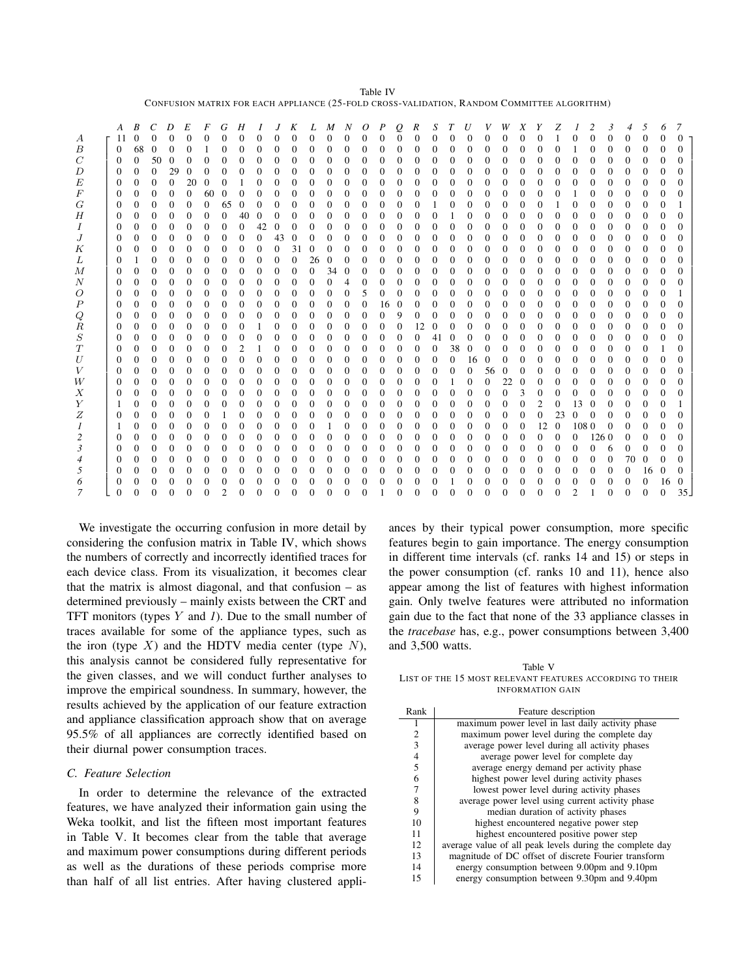| Table IV                                                                                   |
|--------------------------------------------------------------------------------------------|
| CONFUSION MATRIX FOR EACH APPLIANCE (25-FOLD CROSS-VALIDATION, RANDOM COMMITTEE ALGORITHM) |

|                  | A            | B        | C            | D              | E        | F        | G              | Н        |              |              | K        | L            | M            | N              | 0            | P            | Q              | R            | S                 |          | $\boldsymbol{U}$ |              | W        | X            |                | Z            |                | 2        | 3        | 4        | 5.           | 6              | 7        |
|------------------|--------------|----------|--------------|----------------|----------|----------|----------------|----------|--------------|--------------|----------|--------------|--------------|----------------|--------------|--------------|----------------|--------------|-------------------|----------|------------------|--------------|----------|--------------|----------------|--------------|----------------|----------|----------|----------|--------------|----------------|----------|
| $\boldsymbol{A}$ | 11           | 0        | $\Omega$     | $\Omega$       | $\Omega$ | $\Omega$ | 0              | $\theta$ | $\mathbf{0}$ | $\Omega$     | $\Omega$ | $\mathbf{0}$ | $\Omega$     | $\mathbf{0}$   | $\Omega$     | $\mathbf{0}$ | $\mathbf{0}$   | $\mathbf{0}$ | 0                 | 0        | $\theta$         | $\Omega$     | $\Omega$ | 0            | 0              |              | 0              | 0        | 0        | 0        | $\mathbf{0}$ | $\overline{0}$ | $\Omega$ |
| $\boldsymbol{B}$ | $\theta$     | 68       | $\Omega$     | $\Omega$       | $\Omega$ |          | 0              | 0        | $\Omega$     | $\Omega$     | $\Omega$ | $\Omega$     | $\Omega$     | $\Omega$       | $\Omega$     | 0            | 0              | 0            | $\Omega$          | $\Omega$ | $\Omega$         | $\Omega$     | $\Omega$ | 0            | 0              | 0            |                | 0        | $\Omega$ | $\Omega$ | $\mathbf{0}$ | $\Omega$       | $\Omega$ |
| $\,$ $\,$        | $\bf{0}$     | 0        | 50           | $\Omega$       | $\Omega$ | $\theta$ |                | 0        | 0            | $\Omega$     |          | 0            | $\Omega$     | $\Omega$       | 0            | 0            | 0              | $\Omega$     | 0                 | 0        | $\Omega$         | $\Omega$     | $\Omega$ | $\theta$     | 0              | 0            | 0              | 0        |          | 0        | 0            | $\Omega$       | $\Omega$ |
| D                | $\Omega$     | $\Omega$ | $\Omega$     | 29             | $\Omega$ | 0        | 0              | 0        | 0            | 0            |          | $\Omega$     | $\Omega$     | $\Omega$       | $\Omega$     | $\Omega$     | 0              | $\Omega$     | $\Omega$          | 0        | $\Omega$         | $\Omega$     | $\Omega$ | 0            | $^{0}$         | $\Omega$     | $\Omega$       | 0        | $^{(1)}$ | 0        | 0            | $\Omega$       | $\Omega$ |
| E                | $\mathbf{0}$ | $\Omega$ | $\theta$     | $\mathbf{0}$   | 20       |          | 0              |          | 0            | $\Omega$     | $\Omega$ | $\theta$     | $\theta$     | $\overline{0}$ | $\theta$     | $\mathbf{0}$ | 0              | 0            | $\theta$          | $\Omega$ | $\theta$         | $\mathbf{0}$ | $\theta$ | 0            | $\mathbf{0}$   | $\theta$     | $\overline{0}$ | 0        | 0        | $\theta$ | 0            | $\Omega$       | $\Omega$ |
| F                | $\bf{0}$     | $^{0}$   | $\Omega$     | $\Omega$       | $\Omega$ | 60       | 0              | $\theta$ | $\Omega$     | $\Omega$     | $\Omega$ | $^{0}$       | $^{0}$       | $\Omega$       | $\theta$     | $\Omega$     | 0              | 0            | $\Omega$          | 0        | $\Omega$         | $\Omega$     | $\Omega$ | 0            | $\mathbf{0}$   | $\Omega$     |                | 0        | $\Omega$ | 0        | 0            | 0              | $\theta$ |
| G                | $\theta$     | 0        | $\Omega$     | $\Omega$       | $\Omega$ | 0        | 65             | $\theta$ | $\Omega$     | 0            | 0        | 0            | $\Omega$     | $\Omega$       | 0            | 0            | $\theta$       | 0            |                   | 0        | $\Omega$         | $\Omega$     | $\Omega$ | 0            | $\Omega$       |              | 0              | 0        | 0        | $\theta$ | 0            | 0              |          |
| Η                | $\theta$     | $^{0}$   | $\Omega$     | $\Omega$       | $\Omega$ | $\Omega$ | 0              | 40       | 0            |              |          | $\Omega$     | $\Omega$     | $\Omega$       | 0            | 0            | $\theta$       | $\Omega$     | 0                 |          | $\Omega$         | $\Omega$     | $\Omega$ | 0            | $\Omega$       | $\Omega$     | $\overline{0}$ | 0        | 0        | $\Omega$ | 0            | $\Omega$       | 0        |
| Ι                | $\theta$     | $^{0}$   | $\Omega$     | $\Omega$       | $\Omega$ | $\Omega$ | 0              | 0        | 42           | $\theta$     |          | $\Omega$     | $\Omega$     | $\Omega$       | $^{0}$       | $\Omega$     | 0              | $\Omega$     | 0                 | $\theta$ | $\Omega$         | $\Omega$     | $\Omega$ | 0            | $\Omega$       | $\Omega$     | $\Omega$       | $\theta$ | $_{0}$   | 0        | 0            | $\theta$       | $\theta$ |
| $\boldsymbol{J}$ | $\mathbf{0}$ | $\Omega$ | $\Omega$     | $\Omega$       | $\theta$ | $\Omega$ | $\Omega$       | 0        | $\Omega$     | 43           | 0        | $\Omega$     | $\Omega$     | $\Omega$       | $\Omega$     | $\Omega$     | $\Omega$       | $\Omega$     | $\Omega$          | 0        | $\Omega$         | $\Omega$     | $\Omega$ | $\Omega$     | $\mathbf{0}$   | $\Omega$     | $\Omega$       | 0        | 0        | 0        | $\Omega$     | $\Omega$       | $\theta$ |
| Κ                | $\mathbf{0}$ | $\Omega$ | $\Omega$     | $\Omega$       | $\Omega$ | $\Omega$ | $\Omega$       | $\Omega$ | $\mathbf{0}$ | $\Omega$     | 31       | $\Omega$     | $\Omega$     | $\Omega$       | 0            | $\Omega$     | $\Omega$       | 0            | $\Omega$          | $\Omega$ | $\Omega$         | $\Omega$     | $\Omega$ | $\Omega$     | $\mathbf{0}$   | $\mathbf{0}$ | $\overline{0}$ | 0        | $\Omega$ | 0        | 0            | $\Omega$       | $\theta$ |
| L                | $\theta$     |          | $\Omega$     | $\Omega$       | $\Omega$ | $\Omega$ | 0              | 0        | 0            | $\mathbf{0}$ | $\Omega$ | 26           | $\Omega$     | $\Omega$       | 0            | 0            | 0              | 0            | $\Omega$          | $\Omega$ | $\Omega$         | $\Omega$     | $\theta$ | 0            | 0              | $\mathbf{0}$ | $\overline{0}$ | $\Omega$ | 0        | 0        | 0            | $\Omega$       | $\theta$ |
| М                | $\Omega$     | $\Omega$ | $\Omega$     | $\Omega$       | $\Omega$ | $\Omega$ | $\Omega$       | $\theta$ | 0            | $\Omega$     | $\Omega$ | $\Omega$     | 34           | $\Omega$       | 0            | 0            | $\theta$       | 0            | $\Omega$          | $\Omega$ | $\Omega$         | $\Omega$     | $\Omega$ | $\Omega$     | $\Omega$       | $\Omega$     | $\Omega$       | 0        | 0        | 0        | 0            | $\Omega$       | $\theta$ |
| N                | $\mathbf{0}$ | $^{0}$   | $\Omega$     | $\Omega$       | $\Omega$ | $\Omega$ | 0              | 0        | $\Omega$     | $\Omega$     |          | $\Omega$     | $\Omega$     | 4              | 0            | 0            | 0              | 0            | $\Omega$          | $\Omega$ | $\Omega$         | $\Omega$     | $\Omega$ | $\Omega$     | $\Omega$       | $\Omega$     | 0              | 0        | 0        | 0        | 0            | $\Omega$       |          |
| Ο                | $\Omega$     | $^{0}$   | $\Omega$     | $\Omega$       | $\Omega$ | $\Omega$ | $\Omega$       | 0        | $\Omega$     | $\Omega$     |          | $\Omega$     | $\Omega$     | $\Omega$       | 5            | 0            | 0              | $\Omega$     | $\Omega$          | 0        | $\Omega$         | $\Omega$     | $\Omega$ | 0            | $\Omega$       | $\Omega$     | $\Omega$       | 0        | 0        | 0        | 0            | $\Omega$       |          |
| $\boldsymbol{P}$ | $\theta$     | $\Omega$ | $\Omega$     | $\theta$       | $\theta$ | $\theta$ | 0              | 0        | 0            | $\Omega$     | 0        | $^{0}$       | $\Omega$     | $\theta$       | $\Omega$     | 16           | 0              | 0            | $\Omega$          | $\Omega$ | $\Omega$         | $\Omega$     | $\Omega$ | $\Omega$     | $\mathbf{0}$   | $\mathbf{0}$ | $\overline{0}$ | $\Omega$ | 0        | 0        | 0            | $\Omega$       | $\Omega$ |
| Q                | 0            | $^{0}$   | $\mathbf{0}$ | $\theta$       | $\theta$ | $\theta$ | 0              | 0        | 0            | $\Omega$     | $\Omega$ | 0            | 0            | 0              | $\mathbf{0}$ | $\theta$     | 9              | 0            | $\Omega$          | $\Omega$ | $\Omega$         | $\Omega$     | 0        | 0            | $\mathbf{0}$   | $\mathbf{0}$ | $\overline{0}$ | 0        | 0        | 0        | 0            | $\Omega$       | $\Omega$ |
| $_{R}$           | $\theta$     | $^{0}$   | $\Omega$     | $\Omega$       | $\Omega$ | 0        | 0              | 0        |              | $\Omega$     | 0        | $^{0}$       | $^{0}$       | $\Omega$       | $\theta$     | $\Omega$     | $\theta$       | 12           | 0                 | 0        | $\Omega$         | $\Omega$     | $\Omega$ | 0            | $\Omega$       | $\Omega$     | $\Omega$       | $\Omega$ | 0        | 0        | 0            | $\Omega$       | $\theta$ |
| $\boldsymbol{S}$ | $\theta$     | $^{0}$   | $\Omega$     | $\theta$       | $\Omega$ | $\Omega$ | 0              | 0        | $\theta$     | $\Omega$     | 0        | $\Omega$     | $\Omega$     | $\Omega$       | $\Omega$     | $\Omega$     | 0              | $\Omega$     | 41                |          | $\Omega$         | $\Omega$     | $\Omega$ | 0            | $\Omega$       | 0            | $\mathbf{0}$   | $\Omega$ | 0        | 0        | $\Omega$     | $\Omega$       | 0        |
| T                | $\mathbf{0}$ | 0        | $\Omega$     | $\theta$       | $\Omega$ | 0        | 0              | 2        |              | $\Omega$     |          | 0            | $\Omega$     | $^{0}$         | 0            | 0            | $\theta$       | 0            | $\Omega$          | 38       | $\Omega$         | $\Omega$     | $\Omega$ | 0            | 0              | $\Omega$     | 0              | 0        | 0        | 0        | 0            |                |          |
| U                | $\theta$     | $^{0}$   | $\Omega$     | $\Omega$       | $\Omega$ | 0        | 0              | 0        | $\Omega$     | $\Omega$     | $\theta$ | $^{0}$       | $\Omega$     | $\Omega$       | $\theta$     | $\Omega$     | 0              | $\Omega$     | $\Omega$          | 0        | 16               | $\Omega$     | $\Omega$ | 0            | $\Omega$       | $\Omega$     | $\Omega$       | $_{0}$   | $_{0}$   | 0        | 0            | $\theta$       | $\theta$ |
| V                | $\mathbf{0}$ | $\Omega$ | $\Omega$     | $\Omega$       | $\Omega$ | $\Omega$ | $\Omega$       | 0        | 0            | $\Omega$     | 0        | $\Omega$     | $\Omega$     | $\Omega$       | $\Omega$     | $\Omega$     | $\Omega$       | $\Omega$     | $\Omega$          | $\Omega$ | $\Omega$         | 56           | $\Omega$ | $\Omega$     | $\theta$       | $\mathbf{0}$ | $\Omega$       | $\Omega$ | 0        | 0        | 0            | $\Omega$       | 0        |
| W                | 0            | $^{0}$   | $\Omega$     | $\Omega$       | $\Omega$ | $\Omega$ | $\Omega$       | 0        | 0            | $\Omega$     | 0        | $\Omega$     | $\Omega$     | $\Omega$       | $\theta$     | $\Omega$     | $\Omega$       | 0            | $\Omega$          |          | $\Omega$         | $\Omega$     | 22       | $\mathbf{0}$ | $\mathbf{0}$   | $\Omega$     | $\Omega$       | $\Omega$ | 0        | 0        | 0            | $\Omega$       | $\theta$ |
| Χ                | $\theta$     | $^{0}$   | $\Omega$     | $\Omega$       | $\Omega$ | $\Omega$ | $\Omega$       | $\theta$ | $\Omega$     | $\Omega$     | 0        | $\Omega$     | $\Omega$     | $\Omega$       | $\theta$     | $\Omega$     | $\theta$       | $\Omega$     | $\Omega$          | $\Omega$ | $\Omega$         | $\Omega$     | $\Omega$ | 3            | $\mathbf{0}$   | $\Omega$     | $\Omega$       | $\Omega$ | 0        | $\Omega$ | 0            | $\Omega$       | $\theta$ |
| Υ                | 1            | $^{0}$   | $\Omega$     | $\Omega$       | $\Omega$ | $\Omega$ | 0              | 0        | $\Omega$     | $\Omega$     | 0        | $\Omega$     | $\Omega$     | $\Omega$       | $\Omega$     | $\Omega$     | $\theta$       | 0            | $\Omega$          | $\Omega$ | $\Omega$         | $\Omega$     | $\Omega$ | $\Omega$     | $\overline{2}$ | $\Omega$     | 13             |          | 0        | 0        | $\Omega$     | $\Omega$       |          |
| Ζ                | $\theta$     | $^{0}$   | $\Omega$     | $\Omega$       | $\Omega$ | 0        |                | 0        | 0            | $\Omega$     |          | 0            | $\Omega$     | $\Omega$       | 0            | 0            | 0              | $\Omega$     | 0                 | 0        | $\Omega$         | $\Omega$     | $\Omega$ | 0            | 0              | 23           | 0              |          |          | 0        | 0            | $\Omega$       | $\theta$ |
| $\mathcal{I}$    | 1            | $^{0}$   | $\Omega$     | $\Omega$       | $\Omega$ | 0        | 0              | 0        | $\Omega$     | $\Omega$     | $\theta$ | $\Omega$     |              | $\Omega$       | $^{0}$       | $\Omega$     | 0              | $\Omega$     | $\Omega$          | 0        | $\Omega$         | $\Omega$     | $\Omega$ | $\theta$     | 12             | 0            | 1080           |          |          | 0        | 0            | $\theta$       | $\theta$ |
| $\overline{c}$   | $\mathbf{0}$ | $\Omega$ | $\Omega$     | $\overline{0}$ | $\theta$ | $\Omega$ | $\Omega$       | 0        | 0            | $\Omega$     | 0        | $\Omega$     | $\theta$     | $\theta$       | $\Omega$     | $\mathbf{0}$ | 0              | 0            | $\Omega$          | $\Omega$ | $\Omega$         | $\mathbf{0}$ | $\theta$ | $\mathbf{0}$ | 0              | 0            | $\theta$       | 1260     |          | $\theta$ | $\Omega$     | $\Omega$       |          |
| $\mathfrak{Z}$   | 0            | $^{0}$   | $\theta$     | $\mathbf{0}$   | $\theta$ | $\theta$ | 0              | 0        | 0            | 0            | $\Omega$ | 0            | $\mathbf{0}$ | 0              | $\theta$     | 0            | $\overline{0}$ | 0            | 0                 | 0        | $\mathbf{0}$     | 0            | $\bf{0}$ | $\bf{0}$     | 0              | $\mathbf{0}$ | $\mathbf{0}$   | 0        | 6        | $\Omega$ | 0            | 0              | $\theta$ |
| 4                | $\theta$     | 0        | $\Omega$     | $\Omega$       | $\Omega$ | 0        | 0              | 0        | $\Omega$     | 0            | 0        | 0            | 0            | $\Omega$       | 0            | 0            | $\theta$       | $\Omega$     | $\Omega$          | 0        | $\Omega$         | $\Omega$     | $\Omega$ | 0            | $\Omega$       | $\Omega$     | $\Omega$       | $\Omega$ | 0        | 70       | $\Omega$     | $\Omega$       |          |
| 5                | $\theta$     | $^{0}$   | $\Omega$     | $\Omega$       | $\Omega$ | 0        | 0              | 0        | $\theta$     | $\Omega$     |          | $\Omega$     | $\Omega$     | $\Omega$       | $^{0}$       | 0            | 0              | $\Omega$     | 0                 |          | $\Omega$         | $\Omega$     | $\Omega$ | $^{0}$       | $\Omega$       | $\mathbf{0}$ | $\Omega$       | $\Omega$ | 0        | 0        | 16           | 0              |          |
| 6                | $\theta$     | $^{0}$   | $\Omega$     | $\Omega$       | $\Omega$ | 0        | $_{0}$         | 0        | 0            | $\theta$     |          | 0            | 0            | $\Omega$       | $\theta$     | 0            | 0              | 0            | $\mathbf{\Omega}$ |          | $\Omega$         | 0            | $^{0}$   | $\Omega$     | 0              | 0            | 0              | $\theta$ |          | 0        | 0            | 16             | $\theta$ |
| 7                | $\Omega$     | 0        | 0            | $\Omega$       | $\Omega$ | 0        | $\overline{c}$ | 0        | $\Omega$     | $\Omega$     |          | 0            | $\Omega$     | $\Omega$       | 0            |              | 0              | 0            |                   |          | 0                | 0            | $\Omega$ | 0            | $\Omega$       | $\Omega$     | $\mathcal{D}$  |          | 0        | 0        | $\Omega$     | $\Omega$       | 35       |

We investigate the occurring confusion in more detail by considering the confusion matrix in Table IV, which shows the numbers of correctly and incorrectly identified traces for each device class. From its visualization, it becomes clear that the matrix is almost diagonal, and that confusion  $-$  as determined previously – mainly exists between the CRT and TFT monitors (types Y and *1*). Due to the small number of traces available for some of the appliance types, such as the iron (type  $X$ ) and the HDTV media center (type  $N$ ), this analysis cannot be considered fully representative for the given classes, and we will conduct further analyses to improve the empirical soundness. In summary, however, the results achieved by the application of our feature extraction and appliance classification approach show that on average 95.5% of all appliances are correctly identified based on their diurnal power consumption traces.

## *C. Feature Selection*

In order to determine the relevance of the extracted features, we have analyzed their information gain using the Weka toolkit, and list the fifteen most important features in Table V. It becomes clear from the table that average and maximum power consumptions during different periods as well as the durations of these periods comprise more than half of all list entries. After having clustered appliances by their typical power consumption, more specific features begin to gain importance. The energy consumption in different time intervals (cf. ranks 14 and 15) or steps in the power consumption (cf. ranks 10 and 11), hence also appear among the list of features with highest information gain. Only twelve features were attributed no information gain due to the fact that none of the 33 appliance classes in the *tracebase* has, e.g., power consumptions between 3,400 and 3,500 watts.

Table V LIST OF THE 15 MOST RELEVANT FEATURES ACCORDING TO THEIR INFORMATION GAIN

| Rank           | Feature description                                      |
|----------------|----------------------------------------------------------|
| 1              | maximum power level in last daily activity phase         |
| $\mathfrak{2}$ | maximum power level during the complete day              |
| 3              | average power level during all activity phases           |
| $\frac{4}{5}$  | average power level for complete day                     |
|                | average energy demand per activity phase                 |
| 6              | highest power level during activity phases               |
| 7              | lowest power level during activity phases                |
| 8              | average power level using current activity phase         |
| 9              | median duration of activity phases                       |
| 10             | highest encountered negative power step                  |
| 11             | highest encountered positive power step                  |
| 12             | average value of all peak levels during the complete day |
| 13             | magnitude of DC offset of discrete Fourier transform     |
| 14             | energy consumption between 9.00pm and 9.10pm             |
| 15             | energy consumption between 9.30pm and 9.40pm             |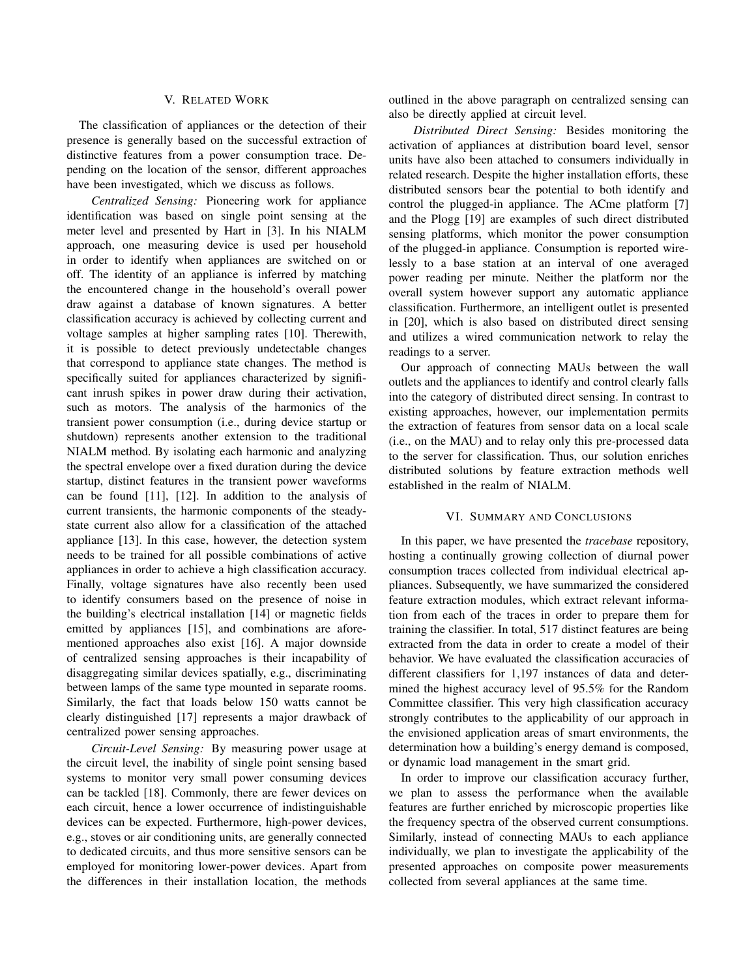# V. RELATED WORK

The classification of appliances or the detection of their presence is generally based on the successful extraction of distinctive features from a power consumption trace. Depending on the location of the sensor, different approaches have been investigated, which we discuss as follows.

*Centralized Sensing:* Pioneering work for appliance identification was based on single point sensing at the meter level and presented by Hart in [3]. In his NIALM approach, one measuring device is used per household in order to identify when appliances are switched on or off. The identity of an appliance is inferred by matching the encountered change in the household's overall power draw against a database of known signatures. A better classification accuracy is achieved by collecting current and voltage samples at higher sampling rates [10]. Therewith, it is possible to detect previously undetectable changes that correspond to appliance state changes. The method is specifically suited for appliances characterized by significant inrush spikes in power draw during their activation, such as motors. The analysis of the harmonics of the transient power consumption (i.e., during device startup or shutdown) represents another extension to the traditional NIALM method. By isolating each harmonic and analyzing the spectral envelope over a fixed duration during the device startup, distinct features in the transient power waveforms can be found [11], [12]. In addition to the analysis of current transients, the harmonic components of the steadystate current also allow for a classification of the attached appliance [13]. In this case, however, the detection system needs to be trained for all possible combinations of active appliances in order to achieve a high classification accuracy. Finally, voltage signatures have also recently been used to identify consumers based on the presence of noise in the building's electrical installation [14] or magnetic fields emitted by appliances [15], and combinations are aforementioned approaches also exist [16]. A major downside of centralized sensing approaches is their incapability of disaggregating similar devices spatially, e.g., discriminating between lamps of the same type mounted in separate rooms. Similarly, the fact that loads below 150 watts cannot be clearly distinguished [17] represents a major drawback of centralized power sensing approaches.

*Circuit-Level Sensing:* By measuring power usage at the circuit level, the inability of single point sensing based systems to monitor very small power consuming devices can be tackled [18]. Commonly, there are fewer devices on each circuit, hence a lower occurrence of indistinguishable devices can be expected. Furthermore, high-power devices, e.g., stoves or air conditioning units, are generally connected to dedicated circuits, and thus more sensitive sensors can be employed for monitoring lower-power devices. Apart from the differences in their installation location, the methods outlined in the above paragraph on centralized sensing can also be directly applied at circuit level.

*Distributed Direct Sensing:* Besides monitoring the activation of appliances at distribution board level, sensor units have also been attached to consumers individually in related research. Despite the higher installation efforts, these distributed sensors bear the potential to both identify and control the plugged-in appliance. The ACme platform [7] and the Plogg [19] are examples of such direct distributed sensing platforms, which monitor the power consumption of the plugged-in appliance. Consumption is reported wirelessly to a base station at an interval of one averaged power reading per minute. Neither the platform nor the overall system however support any automatic appliance classification. Furthermore, an intelligent outlet is presented in [20], which is also based on distributed direct sensing and utilizes a wired communication network to relay the readings to a server.

Our approach of connecting MAUs between the wall outlets and the appliances to identify and control clearly falls into the category of distributed direct sensing. In contrast to existing approaches, however, our implementation permits the extraction of features from sensor data on a local scale (i.e., on the MAU) and to relay only this pre-processed data to the server for classification. Thus, our solution enriches distributed solutions by feature extraction methods well established in the realm of NIALM.

# VI. SUMMARY AND CONCLUSIONS

In this paper, we have presented the *tracebase* repository, hosting a continually growing collection of diurnal power consumption traces collected from individual electrical appliances. Subsequently, we have summarized the considered feature extraction modules, which extract relevant information from each of the traces in order to prepare them for training the classifier. In total, 517 distinct features are being extracted from the data in order to create a model of their behavior. We have evaluated the classification accuracies of different classifiers for 1,197 instances of data and determined the highest accuracy level of 95.5% for the Random Committee classifier. This very high classification accuracy strongly contributes to the applicability of our approach in the envisioned application areas of smart environments, the determination how a building's energy demand is composed, or dynamic load management in the smart grid.

In order to improve our classification accuracy further, we plan to assess the performance when the available features are further enriched by microscopic properties like the frequency spectra of the observed current consumptions. Similarly, instead of connecting MAUs to each appliance individually, we plan to investigate the applicability of the presented approaches on composite power measurements collected from several appliances at the same time.